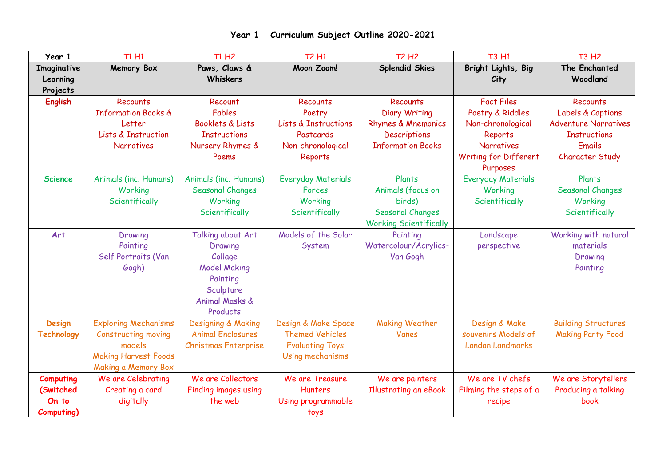| Year 1                                               | <b>T1 H1</b>                                                                                                       | <b>T1 H2</b>                                                                                                                     | <b>T2 H1</b>                                                                                              | <b>T2 H2</b>                                                                                              | <b>T3 H1</b>                                                                                                                    | <b>T3 H2</b>                                                                                                     |
|------------------------------------------------------|--------------------------------------------------------------------------------------------------------------------|----------------------------------------------------------------------------------------------------------------------------------|-----------------------------------------------------------------------------------------------------------|-----------------------------------------------------------------------------------------------------------|---------------------------------------------------------------------------------------------------------------------------------|------------------------------------------------------------------------------------------------------------------|
| Imaginative<br>Learning<br>Projects                  | Memory Box                                                                                                         | Paws, Claws &<br>Whiskers                                                                                                        | Moon Zoom!                                                                                                | <b>Splendid Skies</b>                                                                                     | Bright Lights, Big<br>City                                                                                                      | The Enchanted<br>Woodland                                                                                        |
| <b>English</b>                                       | <b>Recounts</b><br><b>Information Books &amp;</b><br>Letter<br><b>Lists &amp; Instruction</b><br><b>Narratives</b> | Recount<br>Fables<br>Booklets & Lists<br><b>Instructions</b><br>Nursery Rhymes &<br>Poems                                        | <b>Recounts</b><br>Poetry<br><b>Lists &amp; Instructions</b><br>Postcards<br>Non-chronological<br>Reports | Recounts<br><b>Diary Writing</b><br>Rhymes & Mnemonics<br><b>Descriptions</b><br><b>Information Books</b> | <b>Fact Files</b><br>Poetry & Riddles<br>Non-chronological<br>Reports<br><b>Narratives</b><br>Writing for Different<br>Purposes | Recounts<br>Labels & Captions<br><b>Adventure Narratives</b><br><b>Instructions</b><br>Emails<br>Character Study |
| <b>Science</b>                                       | Animals (inc. Humans)<br>Working<br>Scientifically                                                                 | Animals (inc. Humans)<br><b>Seasonal Changes</b><br>Working<br>Scientifically                                                    | <b>Everyday Materials</b><br>Forces<br>Working<br>Scientifically                                          | Plants<br>Animals (focus on<br>birds)<br><b>Seasonal Changes</b><br><b>Working Scientifically</b>         | <b>Everyday Materials</b><br>Working<br>Scientifically                                                                          | Plants<br><b>Seasonal Changes</b><br>Working<br>Scientifically                                                   |
| Art                                                  | Drawing<br>Painting<br>Self Portraits (Van<br>Gogh)                                                                | Talking about Art<br>Drawing<br>Collage<br><b>Model Making</b><br>Painting<br>Sculpture<br><b>Animal Masks &amp;</b><br>Products | Models of the Solar<br>System                                                                             | Painting<br>Watercolour/Acrylics-<br>Van Gogh                                                             | Landscape<br>perspective                                                                                                        | Working with natural<br>materials<br>Drawing<br>Painting                                                         |
| <b>Design</b><br><b>Technology</b>                   | <b>Exploring Mechanisms</b><br>Constructing moving<br>models<br><b>Making Harvest Foods</b><br>Making a Memory Box | Designing & Making<br><b>Animal Enclosures</b><br><b>Christmas Enterprise</b>                                                    | Design & Make Space<br><b>Themed Vehicles</b><br><b>Evaluating Toys</b><br>Using mechanisms               | <b>Making Weather</b><br>Vanes                                                                            | Design & Make<br>souvenirs Models of<br><b>London Landmarks</b>                                                                 | <b>Building Structures</b><br><b>Making Party Food</b>                                                           |
| <b>Computing</b><br>(Switched<br>On to<br>Computing) | We are Celebrating<br>Creating a card<br>digitally                                                                 | We are Collectors<br>Finding images using<br>the web                                                                             | We are Treasure<br><b>Hunters</b><br>Using programmable<br>toys                                           | We are painters<br><b>Illustrating an eBook</b>                                                           | We are TV chefs<br>Filming the steps of a<br>recipe                                                                             | We are Storytellers<br>Producing a talking<br><b>book</b>                                                        |

## **Year 1 Curriculum Subject Outline 2020-2021**